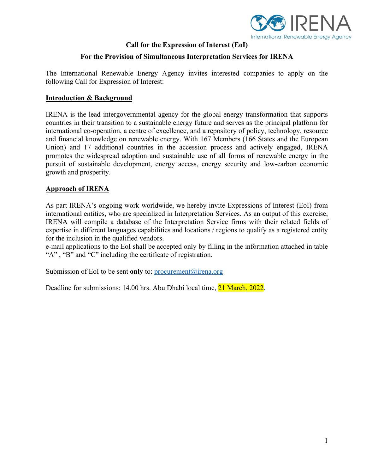

## **Call for the Expression of Interest (EoI)**

## **For the Provision of Simultaneous Interpretation Services for IRENA**

The International Renewable Energy Agency invites interested companies to apply on the following Call for Expression of Interest:

#### **Introduction & Background**

IRENA is the lead intergovernmental agency for the global energy transformation that supports countries in their transition to a sustainable energy future and serves as the principal platform for international co-operation, a centre of excellence, and a repository of policy, technology, resource and financial knowledge on renewable energy. With 167 Members (166 States and the European Union) and 17 additional countries in the accession process and actively engaged, IRENA promotes the widespread adoption and sustainable use of all forms of renewable energy in the pursuit of sustainable development, energy access, energy security and low-carbon economic growth and prosperity.

## **Approach of IRENA**

As part IRENA's ongoing work worldwide, we hereby invite Expressions of Interest (EoI) from international entities, who are specialized in Interpretation Services. As an output of this exercise, IRENA will compile a database of the Interpretation Service firms with their related fields of expertise in different languages capabilities and locations / regions to qualify as a registered entity for the inclusion in the qualified vendors.

e-mail applications to the EoI shall be accepted only by filling in the information attached in table "A" , "B" and "C" including the certificate of registration.

Submission of EoI to be sent **only** to: [procurement@irena.org](mailto:procurement@irena.org)

Deadline for submissions: 14.00 hrs. Abu Dhabi local time, 21 March, 2022.